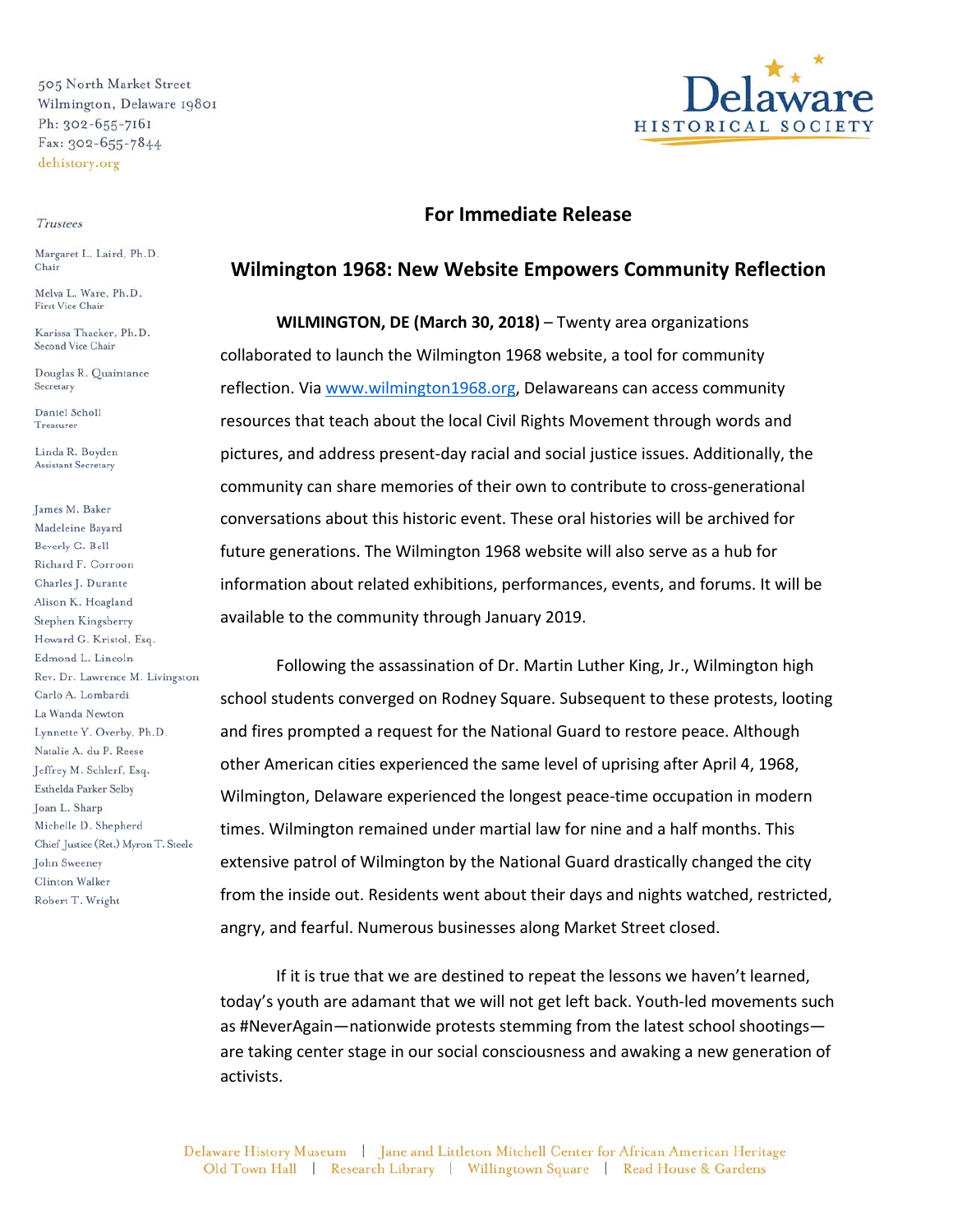505 North Market Street Wilmington, Delaware 19801 Ph: 302-655-7161 Fax: 302-655-7844 dehistory.org

## Trustees

Margaret L. Laird, Ph.D. Chair

Melva L. Ware, Ph.D. First Vice Chair

Karissa Thacker, Ph.D. Second Vice Chair

Douglas R. Quaintance Secretary

Daniel Scholl Treasurer

Linda R. Boyden Assistant Secretary

James M. Baker Madeleine Bayard Beverly G. Bell Richard F. Corroon Charles J. Durante Alison K. Hoagland Stephen Kingsberry Howard G. Kristol, Esq. Edmond L. Lincoln Rev. Dr. Lawrence M. Livingston Carlo A. Lombardi La Wanda Newton Lynnette Y. Overby, Ph.D. Natalie A. du P. Reese Jeffrey M. Schlerf, Esq. Esthelda Parker Selby Joan L. Sharp Michelle D. Shepherd Chief Justice (Ret.) Myron T. Steele John Sweeney Clinton Walker Robert T. Wright



## **For Immediate Release**

## **Wilmington 1968: New Website Empowers Community Reflection**

**WILMINGTON, DE (March 30, 2018)** – Twenty area organizations collaborated to launch the Wilmington 1968 website, a tool for community reflection. Via www.wilmington1968.org, Delawareans can access community resources that teach about the local Civil Rights Movement through words and pictures, and address present-day racial and social justice issues. Additionally, the community can share memories of their own to contribute to cross-generational conversations about this historic event. These oral histories will be archived for future generations. The Wilmington 1968 website will also serve as a hub for information about related exhibitions, performances, events, and forums. It will be available to the community through January 2019.

Following the assassination of Dr. Martin Luther King, Jr., Wilmington high school students converged on Rodney Square. Subsequent to these protests, looting and fires prompted a request for the National Guard to restore peace. Although other American cities experienced the same level of uprising after April 4, 1968, Wilmington, Delaware experienced the longest peace-time occupation in modern times. Wilmington remained under martial law for nine and a half months. This extensive patrol of Wilmington by the National Guard drastically changed the city from the inside out. Residents went about their days and nights watched, restricted, angry, and fearful. Numerous businesses along Market Street closed.

If it is true that we are destined to repeat the lessons we haven't learned, today's youth are adamant that we will not get left back. Youth-led movements such as #NeverAgain—nationwide protests stemming from the latest school shootings are taking center stage in our social consciousness and awaking a new generation of activists.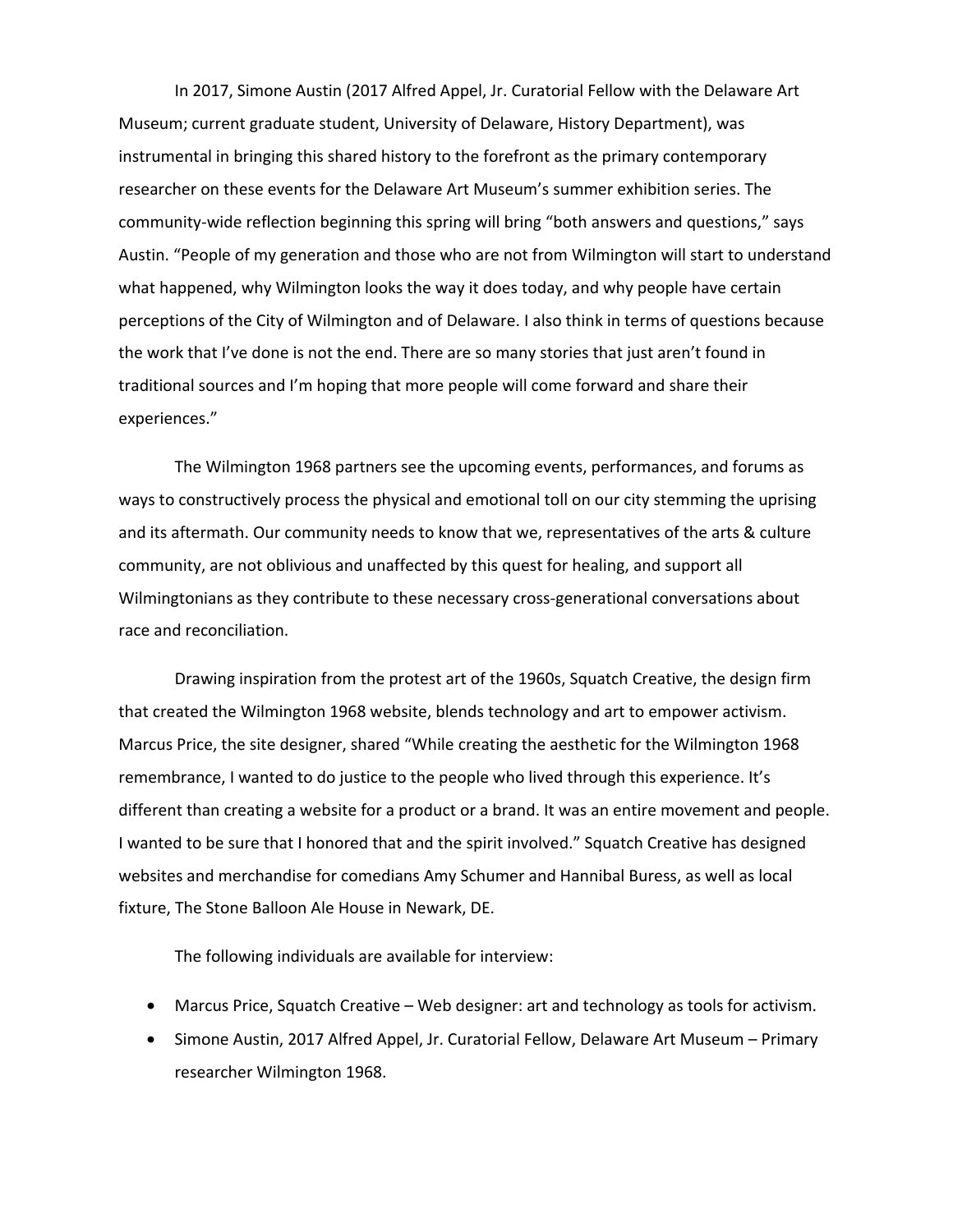In 2017, Simone Austin (2017 Alfred Appel, Jr. Curatorial Fellow with the Delaware Art Museum; current graduate student, University of Delaware, History Department), was instrumental in bringing this shared history to the forefront as the primary contemporary researcher on these events for the Delaware Art Museum's summer exhibition series. The community-wide reflection beginning this spring will bring "both answers and questions," says Austin. "People of my generation and those who are not from Wilmington will start to understand what happened, why Wilmington looks the way it does today, and why people have certain perceptions of the City of Wilmington and of Delaware. I also think in terms of questions because the work that I've done is not the end. There are so many stories that just aren't found in traditional sources and I'm hoping that more people will come forward and share their experiences."

The Wilmington 1968 partners see the upcoming events, performances, and forums as ways to constructively process the physical and emotional toll on our city stemming the uprising and its aftermath. Our community needs to know that we, representatives of the arts & culture community, are not oblivious and unaffected by this quest for healing, and support all Wilmingtonians as they contribute to these necessary cross-generational conversations about race and reconciliation.

Drawing inspiration from the protest art of the 1960s, Squatch Creative, the design firm that created the Wilmington 1968 website, blends technology and art to empower activism. Marcus Price, the site designer, shared "While creating the aesthetic for the Wilmington 1968 remembrance, I wanted to do justice to the people who lived through this experience. It's different than creating a website for a product or a brand. It was an entire movement and people. I wanted to be sure that I honored that and the spirit involved." Squatch Creative has designed websites and merchandise for comedians Amy Schumer and Hannibal Buress, as well as local fixture, The Stone Balloon Ale House in Newark, DE.

The following individuals are available for interview:

- Marcus Price, Squatch Creative Web designer: art and technology as tools for activism.
- Simone Austin, 2017 Alfred Appel, Jr. Curatorial Fellow, Delaware Art Museum Primary researcher Wilmington 1968.